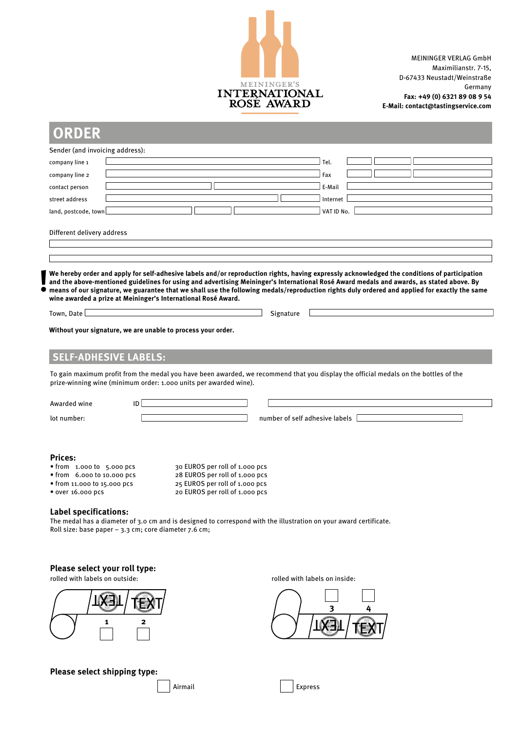

MEININGER VERLAG GmbH Maximilianstr. 7-15, D-67433 Neustadt/Weinstraße Germany **Fax: +49 (0) 6321 89 08 9 54 E-Mail: contact@tastingservice.com**

| Sender (and invoicing address):                                                                                                                                                                                                                                                                                                   |                                                                  |                                |            |  |  |
|-----------------------------------------------------------------------------------------------------------------------------------------------------------------------------------------------------------------------------------------------------------------------------------------------------------------------------------|------------------------------------------------------------------|--------------------------------|------------|--|--|
| company line 1                                                                                                                                                                                                                                                                                                                    |                                                                  |                                | Tel.       |  |  |
| company line 2                                                                                                                                                                                                                                                                                                                    |                                                                  |                                | Fax        |  |  |
| contact person                                                                                                                                                                                                                                                                                                                    |                                                                  |                                | E-Mail     |  |  |
| street address                                                                                                                                                                                                                                                                                                                    |                                                                  |                                | Internet   |  |  |
| land, postcode, town                                                                                                                                                                                                                                                                                                              |                                                                  |                                | VAT ID No. |  |  |
| Different delivery address                                                                                                                                                                                                                                                                                                        |                                                                  |                                |            |  |  |
|                                                                                                                                                                                                                                                                                                                                   |                                                                  |                                |            |  |  |
|                                                                                                                                                                                                                                                                                                                                   |                                                                  |                                |            |  |  |
| Town, Date                                                                                                                                                                                                                                                                                                                        |                                                                  | Signature                      |            |  |  |
|                                                                                                                                                                                                                                                                                                                                   |                                                                  |                                |            |  |  |
|                                                                                                                                                                                                                                                                                                                                   |                                                                  |                                |            |  |  |
|                                                                                                                                                                                                                                                                                                                                   |                                                                  |                                |            |  |  |
|                                                                                                                                                                                                                                                                                                                                   |                                                                  |                                |            |  |  |
|                                                                                                                                                                                                                                                                                                                                   |                                                                  |                                |            |  |  |
|                                                                                                                                                                                                                                                                                                                                   |                                                                  |                                |            |  |  |
|                                                                                                                                                                                                                                                                                                                                   |                                                                  |                                |            |  |  |
| Without your signature, we are unable to process your order.<br><b>SELF-ADHESIVE LABELS:</b><br>To gain maximum profit from the medal you have been awarded, we recommend that you display the official medals on the bottles of the<br>prize-winning wine (minimum order: 1.000 units per awarded wine).<br>Awarded wine<br>ID I |                                                                  |                                |            |  |  |
| lot number:                                                                                                                                                                                                                                                                                                                       |                                                                  | number of self adhesive labels |            |  |  |
|                                                                                                                                                                                                                                                                                                                                   |                                                                  |                                |            |  |  |
|                                                                                                                                                                                                                                                                                                                                   |                                                                  |                                |            |  |  |
|                                                                                                                                                                                                                                                                                                                                   | 30 EUROS per roll of 1.000 pcs                                   |                                |            |  |  |
| <b>Prices:</b><br>$\bullet$ from 1.000 to 5.000 pcs<br>• from 6.000 to 10.000 pcs<br>• from 11.000 to 15.000 pcs                                                                                                                                                                                                                  | 28 EUROS per roll of 1.000 pcs<br>25 EUROS per roll of 1.000 pcs |                                |            |  |  |
|                                                                                                                                                                                                                                                                                                                                   | 20 EUROS per roll of 1.000 pcs                                   |                                |            |  |  |
|                                                                                                                                                                                                                                                                                                                                   |                                                                  |                                |            |  |  |
| • over 16.000 pcs<br><b>Label specifications:</b><br>The medal has a diameter of 3.0 cm and is designed to correspond with the illustration on your award certificate.<br>Roll size: base paper $-3.3$ cm; core diameter 7.6 cm;                                                                                                  |                                                                  |                                |            |  |  |

# **Please select your roll type:**



**Please select shipping type:**

rolled with labels on outside:  $\overline{\phantom{a}}$  rolled with labels on inside: